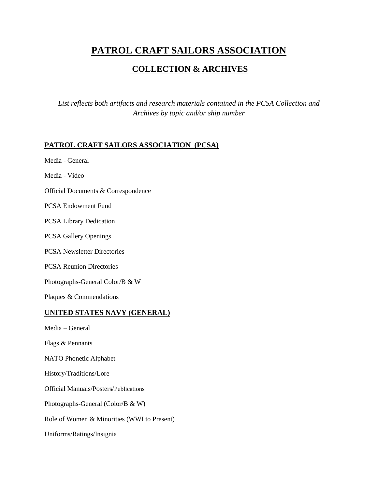# **PATROL CRAFT SAILORS ASSOCIATION**

# **COLLECTION & ARCHIVES**

*List reflects both artifacts and research materials contained in the PCSA Collection and Archives by topic and/or ship number*

### **PATROL CRAFT SAILORS ASSOCIATION (PCSA)**

Media - General

Media - Video

Official Documents & Correspondence

PCSA Endowment Fund

PCSA Library Dedication

PCSA Gallery Openings

PCSA Newsletter Directories

PCSA Reunion Directories

Photographs-General Color/B & W

Plaques & Commendations

# **UNITED STATES NAVY (GENERAL)**

Media – General

Flags & Pennants

NATO Phonetic Alphabet

History/Traditions/Lore

Official Manuals/Posters/Publications

Photographs-General (Color/B & W)

Role of Women & Minorities (WWI to Present)

Uniforms/Ratings/Insignia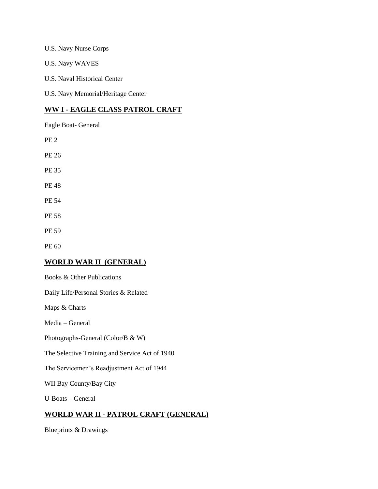### U.S. Navy Nurse Corps

U.S. Navy WAVES

U.S. Naval Historical Center

U.S. Navy Memorial/Heritage Center

## **WW I - EAGLE CLASS PATROL CRAFT**

Eagle Boat- General

PE 2

PE 26

PE 35

PE 48

PE 54

PE 58

PE 59

PE 60

# **WORLD WAR II (GENERAL)**

Books & Other Publications

Daily Life/Personal Stories & Related

Maps & Charts

Media – General

Photographs-General (Color/B & W)

The Selective Training and Service Act of 1940

The Servicemen's Readjustment Act of 1944

WII Bay County/Bay City

U-Boats – General

### **WORLD WAR II - PATROL CRAFT (GENERAL)**

Blueprints & Drawings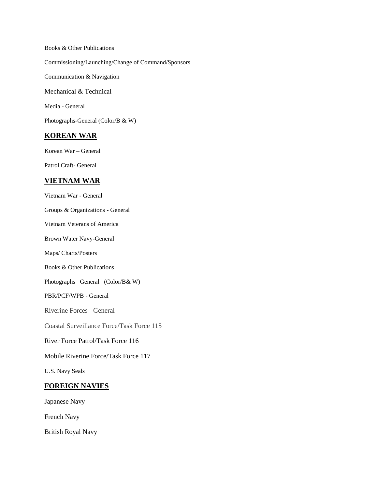Books & Other Publications Commissioning/Launching/Change of Command/Sponsors Communication & Navigation Mechanical & Technical Media - General Photographs-General (Color/B & W)

#### **KOREAN WAR**

Korean War – General

Patrol Craft- General

#### **VIETNAM WAR**

Vietnam War - General

Groups & Organizations - General

Vietnam Veterans of America

Brown Water Navy-General

Maps/ Charts/Posters

Books & Other Publications

Photographs –General (Color/B& W)

PBR/PCF/WPB - General

Riverine Forces - General

Coastal Surveillance Force/Task Force 115

River Force Patrol/Task Force 116

Mobile Riverine Force/Task Force 117

U.S. Navy Seals

#### **FOREIGN NAVIES**

Japanese Navy

French Navy

British Royal Navy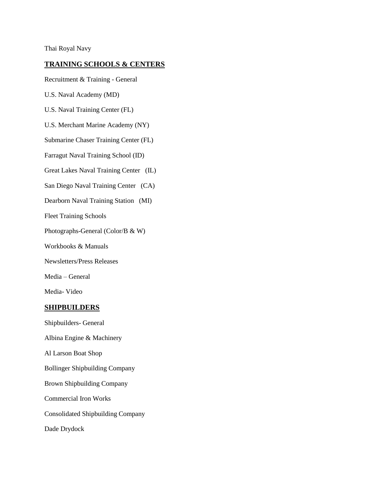Thai Royal Navy

#### **TRAINING SCHOOLS & CENTERS**

Recruitment & Training - General

U.S. Naval Academy (MD)

U.S. Naval Training Center (FL)

U.S. Merchant Marine Academy (NY)

Submarine Chaser Training Center (FL)

Farragut Naval Training School (ID)

Great Lakes Naval Training Center (IL)

San Diego Naval Training Center (CA)

Dearborn Naval Training Station (MI)

Fleet Training Schools

Photographs-General (Color/B & W)

Workbooks & Manuals

Newsletters/Press Releases

Media – General

Media- Video

### **SHIPBUILDERS**

Shipbuilders- General Albina Engine & Machinery Al Larson Boat Shop Bollinger Shipbuilding Company Brown Shipbuilding Company Commercial Iron Works Consolidated Shipbuilding Company Dade Drydock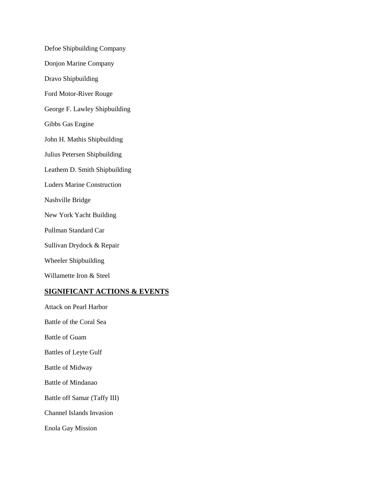Defoe Shipbuilding Company

Donjon Marine Company

Dravo Shipbuilding

Ford Motor-River Rouge

George F. Lawley Shipbuilding

Gibbs Gas Engine

John H. Mathis Shipbuilding

Julius Petersen Shipbuilding

Leathem D. Smith Shipbuilding

Luders Marine Construction

Nashville Bridge

New York Yacht Building

Pullman Standard Car

Sullivan Drydock & Repair

Wheeler Shipbuilding

Willamette Iron & Steel

#### **SIGNIFICANT ACTIONS & EVENTS**

Attack on Pearl Harbor

Battle of the Coral Sea

Battle of Guam

Battles of Leyte Gulf

Battle of Midway

Battle of Mindanao

Battle off Samar (Taffy III)

Channel Islands Invasion

Enola Gay Mission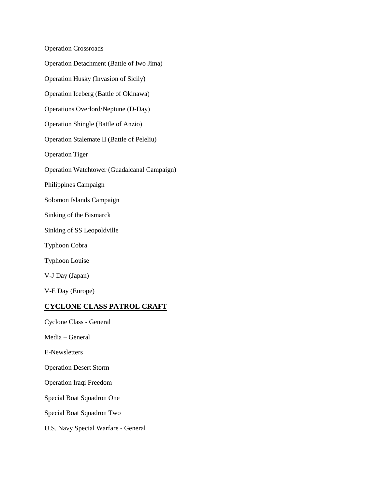Operation Crossroads Operation Detachment (Battle of Iwo Jima) Operation Husky (Invasion of Sicily) Operation Iceberg (Battle of Okinawa) Operations Overlord/Neptune (D-Day) Operation Shingle (Battle of Anzio) Operation Stalemate II (Battle of Peleliu) Operation Tiger Operation Watchtower (Guadalcanal Campaign) Philippines Campaign Solomon Islands Campaign Sinking of the Bismarck Sinking of SS Leopoldville Typhoon Cobra Typhoon Louise V-J Day (Japan) V-E Day (Europe)

### **CYCLONE CLASS PATROL CRAFT**

Cyclone Class - General Media – General E-Newsletters Operation Desert Storm Operation Iraqi Freedom Special Boat Squadron One Special Boat Squadron Two U.S. Navy Special Warfare - General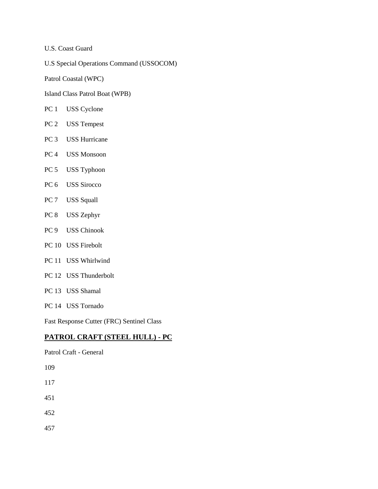#### U.S. Coast Guard

U.S Special Operations Command (USSOCOM)

Patrol Coastal (WPC)

Island Class Patrol Boat (WPB)

- PC 1 USS Cyclone
- PC 2 USS Tempest
- PC 3 USS Hurricane
- PC 4 USS Monsoon
- PC 5 USS Typhoon
- PC 6 USS Sirocco
- PC 7 USS Squall
- PC 8 USS Zephyr
- PC 9 USS Chinook
- PC 10 USS Firebolt
- PC 11 USS Whirlwind
- PC 12 USS Thunderbolt
- PC 13 USS Shamal
- PC 14 USS Tornado

Fast Response Cutter (FRC) Sentinel Class

### **PATROL CRAFT (STEEL HULL) - PC**

Patrol Craft - General

109

- 117
- 451
- 452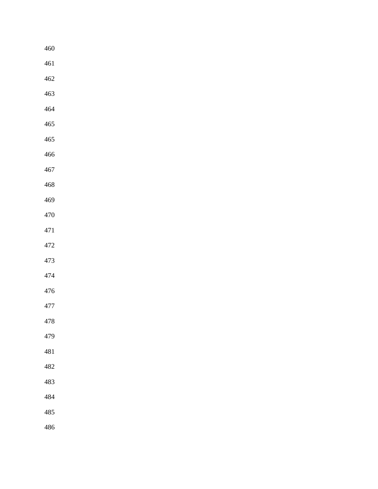| $460\,$      |  |  |  |
|--------------|--|--|--|
| $461\,$      |  |  |  |
| $462\,$      |  |  |  |
| 463          |  |  |  |
| $464\,$      |  |  |  |
| $465\,$      |  |  |  |
| $465\,$      |  |  |  |
| $466\,$      |  |  |  |
| $467\,$      |  |  |  |
| $\sqrt{468}$ |  |  |  |
| 469          |  |  |  |
| 470          |  |  |  |
| 471          |  |  |  |
| 472          |  |  |  |
| 473          |  |  |  |
| 474          |  |  |  |
| 476          |  |  |  |
| 477          |  |  |  |
| 478          |  |  |  |
| 479          |  |  |  |
| 481          |  |  |  |
| 482          |  |  |  |
| 483          |  |  |  |
| 484          |  |  |  |
| 485          |  |  |  |
| 486          |  |  |  |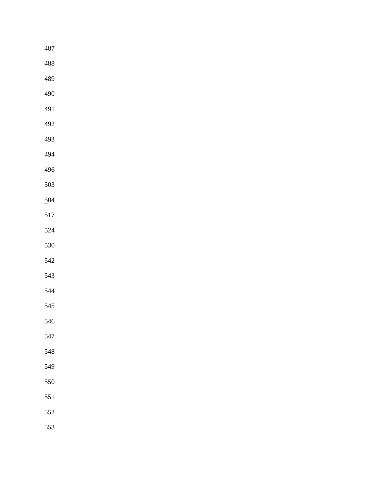| 487 |  |  |  |
|-----|--|--|--|
| 488 |  |  |  |
| 489 |  |  |  |
| 490 |  |  |  |
| 491 |  |  |  |
| 492 |  |  |  |
| 493 |  |  |  |
| 494 |  |  |  |
| 496 |  |  |  |
| 503 |  |  |  |
| 504 |  |  |  |
| 517 |  |  |  |
| 524 |  |  |  |
| 530 |  |  |  |
| 542 |  |  |  |
| 543 |  |  |  |
| 544 |  |  |  |
| 545 |  |  |  |
| 546 |  |  |  |
| 547 |  |  |  |
| 548 |  |  |  |
| 549 |  |  |  |
| 550 |  |  |  |
| 551 |  |  |  |
| 552 |  |  |  |
| 553 |  |  |  |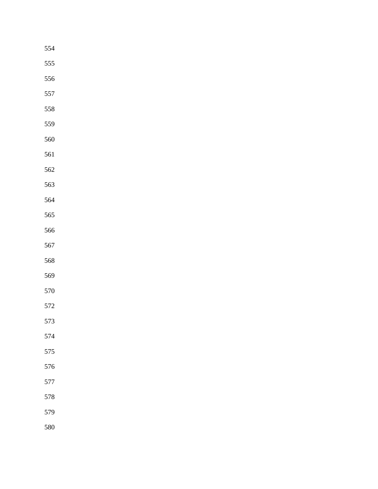| 554 |  |  |  |
|-----|--|--|--|
| 555 |  |  |  |
| 556 |  |  |  |
| 557 |  |  |  |
| 558 |  |  |  |
| 559 |  |  |  |
| 560 |  |  |  |
| 561 |  |  |  |
| 562 |  |  |  |
| 563 |  |  |  |
| 564 |  |  |  |
| 565 |  |  |  |
| 566 |  |  |  |
| 567 |  |  |  |
| 568 |  |  |  |
| 569 |  |  |  |
| 570 |  |  |  |
| 572 |  |  |  |
| 573 |  |  |  |
| 574 |  |  |  |
| 575 |  |  |  |
| 576 |  |  |  |
| 577 |  |  |  |
| 578 |  |  |  |
| 579 |  |  |  |
| 580 |  |  |  |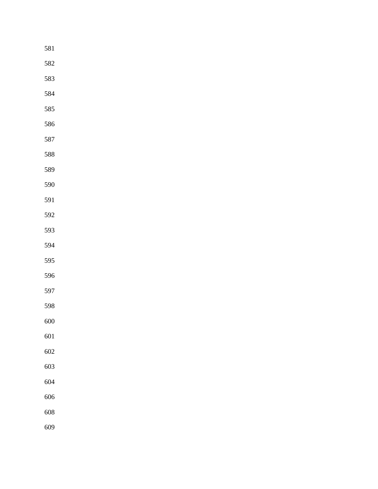| 581 |  |  |  |
|-----|--|--|--|
| 582 |  |  |  |
| 583 |  |  |  |
| 584 |  |  |  |
| 585 |  |  |  |
| 586 |  |  |  |
| 587 |  |  |  |
| 588 |  |  |  |
| 589 |  |  |  |
| 590 |  |  |  |
| 591 |  |  |  |
| 592 |  |  |  |
| 593 |  |  |  |
| 594 |  |  |  |
| 595 |  |  |  |
| 596 |  |  |  |
| 597 |  |  |  |
| 598 |  |  |  |
| 600 |  |  |  |
| 601 |  |  |  |
| 602 |  |  |  |
| 603 |  |  |  |
| 604 |  |  |  |
| 606 |  |  |  |
| 608 |  |  |  |
| 609 |  |  |  |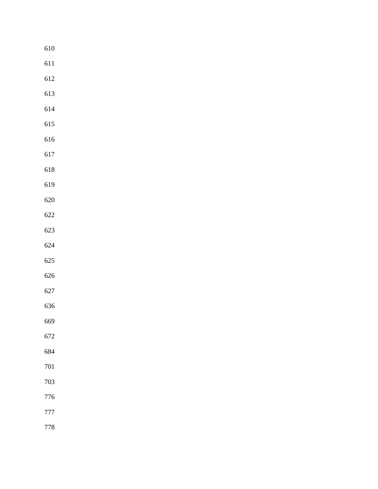| 610     |  |  |  |
|---------|--|--|--|
| 611     |  |  |  |
| 612     |  |  |  |
| 613     |  |  |  |
| 614     |  |  |  |
| 615     |  |  |  |
| 616     |  |  |  |
| 617     |  |  |  |
| 618     |  |  |  |
| 619     |  |  |  |
| 620     |  |  |  |
| 622     |  |  |  |
| 623     |  |  |  |
| 624     |  |  |  |
| 625     |  |  |  |
| 626     |  |  |  |
| 627     |  |  |  |
| 636     |  |  |  |
| 669     |  |  |  |
| 672     |  |  |  |
| 684     |  |  |  |
| $701\,$ |  |  |  |
| 703     |  |  |  |
| 776     |  |  |  |
| $777\,$ |  |  |  |
| 778     |  |  |  |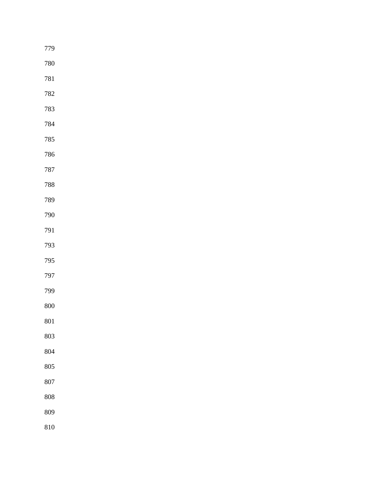| 779 |  |  |  |
|-----|--|--|--|
| 780 |  |  |  |
| 781 |  |  |  |
| 782 |  |  |  |
| 783 |  |  |  |
| 784 |  |  |  |
| 785 |  |  |  |
| 786 |  |  |  |
| 787 |  |  |  |
| 788 |  |  |  |
| 789 |  |  |  |
| 790 |  |  |  |
| 791 |  |  |  |
| 793 |  |  |  |
| 795 |  |  |  |
| 797 |  |  |  |
| 799 |  |  |  |
| 800 |  |  |  |
| 801 |  |  |  |
| 803 |  |  |  |
| 804 |  |  |  |
| 805 |  |  |  |
| 807 |  |  |  |
| 808 |  |  |  |
| 809 |  |  |  |
| 810 |  |  |  |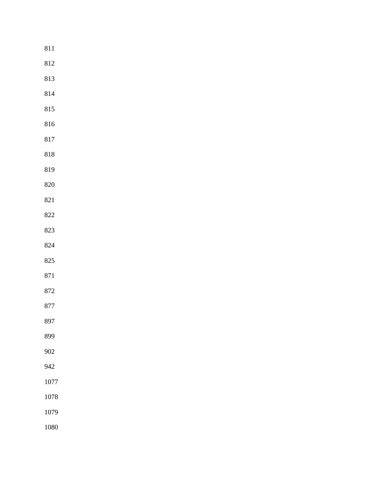| 811      |  |  |  |
|----------|--|--|--|
| 812      |  |  |  |
| 813      |  |  |  |
| 814      |  |  |  |
| 815      |  |  |  |
| 816      |  |  |  |
| 817      |  |  |  |
| 818      |  |  |  |
| 819      |  |  |  |
| 820      |  |  |  |
| 821      |  |  |  |
| 822      |  |  |  |
| 823      |  |  |  |
| 824      |  |  |  |
| 825      |  |  |  |
| 871      |  |  |  |
| 872      |  |  |  |
| 877      |  |  |  |
| 897      |  |  |  |
| 899      |  |  |  |
| 902      |  |  |  |
| 942      |  |  |  |
| $1077\,$ |  |  |  |
| $1078\,$ |  |  |  |
| 1079     |  |  |  |
| 1080     |  |  |  |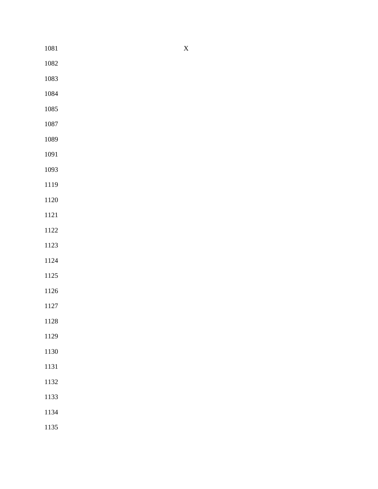# 1081 X

- 
- 
- 
- 
- 
- 
- 
- 
- 
- 
- 
- 
- 
- 
- 
- 
- 
- 
- 
- 
- 
- 
- 
- 
-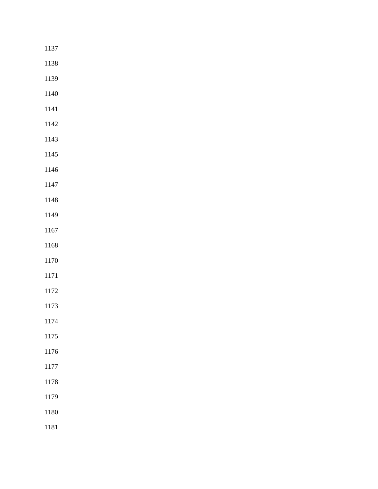| 1137     |  |  |  |
|----------|--|--|--|
| 1138     |  |  |  |
| 1139     |  |  |  |
| 1140     |  |  |  |
| $1141\,$ |  |  |  |
| 1142     |  |  |  |
| 1143     |  |  |  |
| 1145     |  |  |  |
| 1146     |  |  |  |
| 1147     |  |  |  |
| $1148\,$ |  |  |  |
| 1149     |  |  |  |
| $1167\,$ |  |  |  |
| 1168     |  |  |  |
| $1170\,$ |  |  |  |
| $1171\,$ |  |  |  |
| $1172\,$ |  |  |  |
| 1173     |  |  |  |
| 1174     |  |  |  |
| 1175     |  |  |  |
| 1176     |  |  |  |
| $1177\,$ |  |  |  |
| 1178     |  |  |  |
| 1179     |  |  |  |
| 1180     |  |  |  |
| 1181     |  |  |  |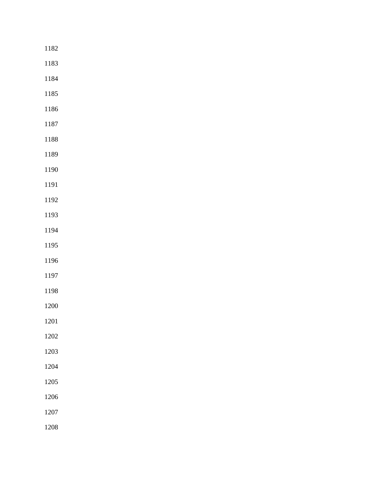| 1182 |  |  |  |
|------|--|--|--|
| 1183 |  |  |  |
| 1184 |  |  |  |
| 1185 |  |  |  |
| 1186 |  |  |  |
| 1187 |  |  |  |
| 1188 |  |  |  |
| 1189 |  |  |  |
| 1190 |  |  |  |
| 1191 |  |  |  |
| 1192 |  |  |  |
| 1193 |  |  |  |
| 1194 |  |  |  |
| 1195 |  |  |  |
| 1196 |  |  |  |
| 1197 |  |  |  |
| 1198 |  |  |  |
| 1200 |  |  |  |
| 1201 |  |  |  |
| 1202 |  |  |  |
| 1203 |  |  |  |
| 1204 |  |  |  |
| 1205 |  |  |  |
| 1206 |  |  |  |
| 1207 |  |  |  |
| 1208 |  |  |  |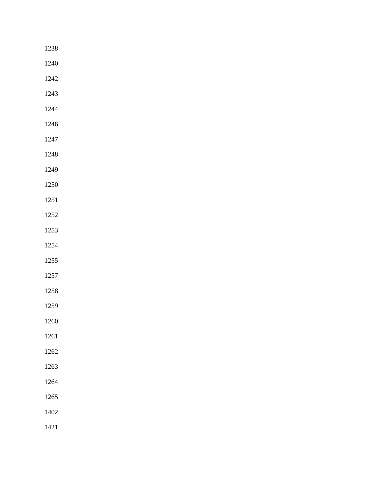| 1238 |  |  |  |
|------|--|--|--|
| 1240 |  |  |  |
| 1242 |  |  |  |
| 1243 |  |  |  |
| 1244 |  |  |  |
| 1246 |  |  |  |
| 1247 |  |  |  |
| 1248 |  |  |  |
| 1249 |  |  |  |
| 1250 |  |  |  |
| 1251 |  |  |  |
| 1252 |  |  |  |
| 1253 |  |  |  |
| 1254 |  |  |  |
| 1255 |  |  |  |
| 1257 |  |  |  |
| 1258 |  |  |  |
| 1259 |  |  |  |
| 1260 |  |  |  |
| 1261 |  |  |  |
| 1262 |  |  |  |
| 1263 |  |  |  |
| 1264 |  |  |  |
| 1265 |  |  |  |
| 1402 |  |  |  |
| 1421 |  |  |  |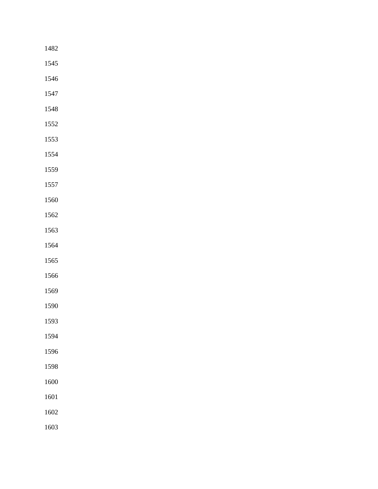| 1482 |  |  |  |
|------|--|--|--|
| 1545 |  |  |  |
| 1546 |  |  |  |
| 1547 |  |  |  |
| 1548 |  |  |  |
| 1552 |  |  |  |
| 1553 |  |  |  |
| 1554 |  |  |  |
| 1559 |  |  |  |
| 1557 |  |  |  |
| 1560 |  |  |  |
| 1562 |  |  |  |
| 1563 |  |  |  |
| 1564 |  |  |  |
| 1565 |  |  |  |
| 1566 |  |  |  |
| 1569 |  |  |  |
| 1590 |  |  |  |
| 1593 |  |  |  |
| 1594 |  |  |  |
| 1596 |  |  |  |
| 1598 |  |  |  |
| 1600 |  |  |  |
| 1601 |  |  |  |
| 1602 |  |  |  |
| 1603 |  |  |  |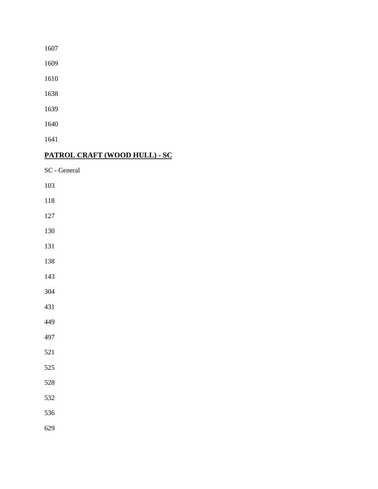- 
- 
- 
- 
- 

# **PATROL CRAFT (WOOD HULL) - SC**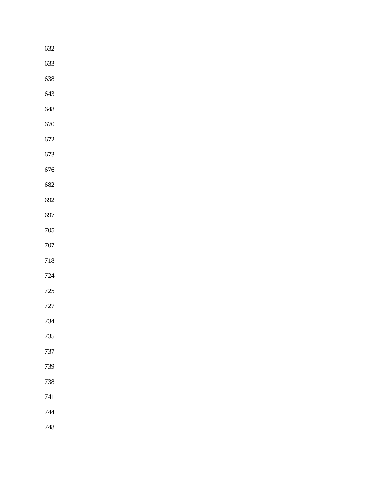| 632     |  |  |  |
|---------|--|--|--|
| 633     |  |  |  |
| 638     |  |  |  |
| 643     |  |  |  |
| 648     |  |  |  |
| 670     |  |  |  |
| 672     |  |  |  |
| 673     |  |  |  |
| 676     |  |  |  |
| 682     |  |  |  |
| 692     |  |  |  |
| 697     |  |  |  |
| $705\,$ |  |  |  |
| $707\,$ |  |  |  |
| $718\,$ |  |  |  |
| 724     |  |  |  |
| $725\,$ |  |  |  |
| 727     |  |  |  |
| 734     |  |  |  |
| 735     |  |  |  |
| 737     |  |  |  |
| 739     |  |  |  |
| 738     |  |  |  |
| 741     |  |  |  |
| 744     |  |  |  |
| 748     |  |  |  |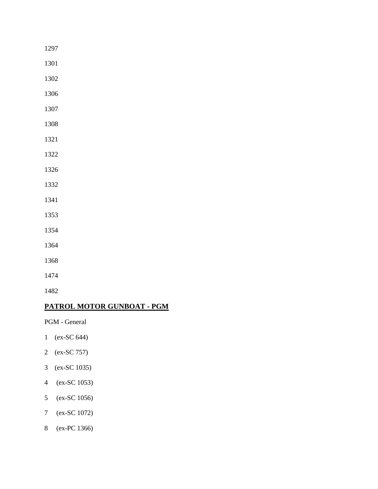| 1297 |  |
|------|--|
| 1301 |  |

- 
- 
- 
- 
- 
- 
- 
- 
- 
- 
- 
- 
- 
- 
- 
- 

# **PATROL MOTOR GUNBOAT - PGM**

PGM - General

- 1 (ex-SC 644)
- 2 (ex-SC 757)
- 3 (ex-SC 1035)
- 4 (ex-SC 1053)
- 5 (ex-SC 1056)
- 7 (ex-SC 1072)
- 8 (ex-PC 1366)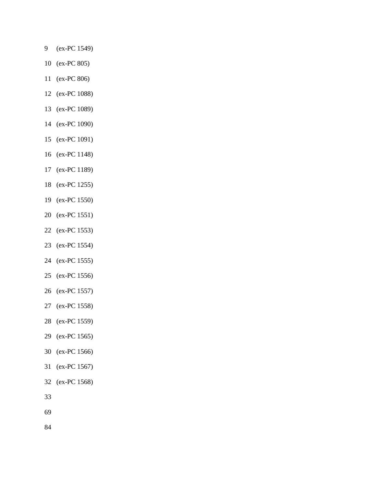- 9 (ex-PC 1549)
- 10 (ex-PC 805)
- 11 (ex-PC 806)
- 12 (ex-PC 1088)
- 13 (ex-PC 1089)
- 14 (ex-PC 1090)
- 15 (ex-PC 1091)
- 16 (ex-PC 1148)
- 17 (ex-PC 1189)
- 18 (ex-PC 1255)
- 19 (ex-PC 1550)
- 20 (ex-PC 1551)
- 22 (ex-PC 1553)
- 23 (ex-PC 1554)
- 24 (ex-PC 1555)
- 25 (ex-PC 1556)
- 26 (ex-PC 1557)
- 27 (ex-PC 1558)
- 28 (ex-PC 1559)
- 29 (ex-PC 1565)
- 30 (ex-PC 1566)
- 31 (ex-PC 1567)
- 32 (ex-PC 1568)
- 33
- 69
- 84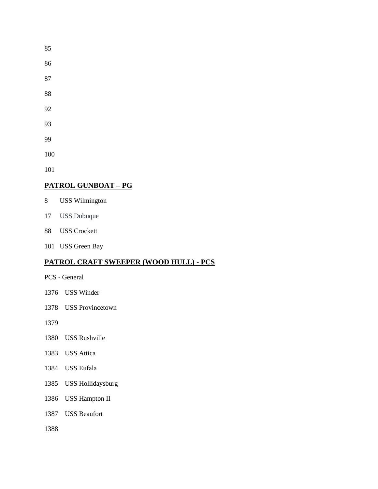- 86
- 87
- 88
- 92
- 93
- 99

100

101

# **PATROL GUNBOAT – PG**

- 8 USS Wilmington
- 17 USS Dubuque
- 88 USS Crockett
- 101 USS Green Bay

# **PATROL CRAFT SWEEPER (WOOD HULL) - PCS**

- PCS General
- 1376 USS Winder
- 1378 USS Provincetown
- 1379
- 1380 USS Rushville
- 1383 USS Attica
- 1384 USS Eufala
- 1385 USS Hollidaysburg
- 1386 USS Hampton II
- 1387 USS Beaufort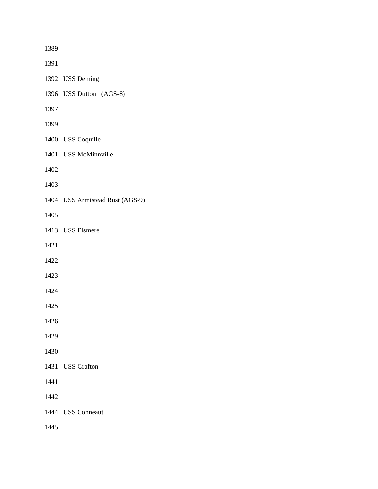| 1389 |                                 |
|------|---------------------------------|
| 1391 |                                 |
|      | 1392 USS Deming                 |
|      | 1396 USS Dutton (AGS-8)         |
| 1397 |                                 |
| 1399 |                                 |
|      | 1400 USS Coquille               |
|      | 1401 USS McMinnville            |
| 1402 |                                 |
| 1403 |                                 |
|      | 1404 USS Armistead Rust (AGS-9) |
| 1405 |                                 |
|      | 1413 USS Elsmere                |
| 1421 |                                 |
| 1422 |                                 |
| 1423 |                                 |
| 1424 |                                 |
| 1425 |                                 |
| 1426 |                                 |
| 1429 |                                 |
| 1430 |                                 |
|      | 1431 USS Grafton                |
| 1441 |                                 |
| 1442 |                                 |
|      | 1444 USS Conneaut               |
| 1445 |                                 |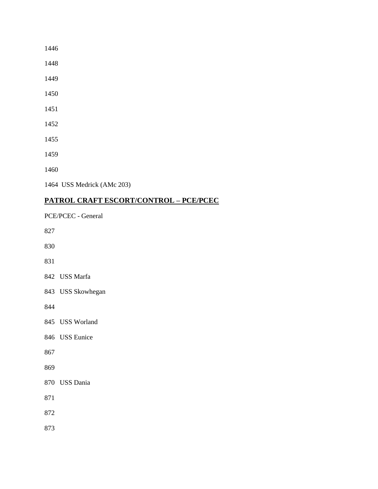- 
- 
- 
- 
- 

1464 USS Medrick (AMc 203)

# **PATROL CRAFT ESCORT/CONTROL – PCE/PCEC**

PCE/PCEC - General

- 
- 842 USS Marfa
- 843 USS Skowhegan

- 845 USS Worland
- 846 USS Eunice
- 
- 
- 870 USS Dania
- 
- 
-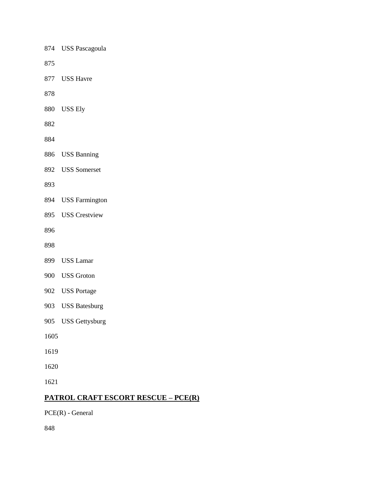874 USS Pascagoula 875 877 USS Havre 878 880 USS Ely 882 884 886 USS Banning 892 USS Somerset 893 894 USS Farmington 895 USS Crestview 896 898

- 899 USS Lamar
- 900 USS Groton
- 902 USS Portage
- 903 USS Batesburg
- 905 USS Gettysburg
- 1605
- 1619
- 1620
- 1621

### **PATROL CRAFT ESCORT RESCUE – PCE(R)**

PCE(R) - General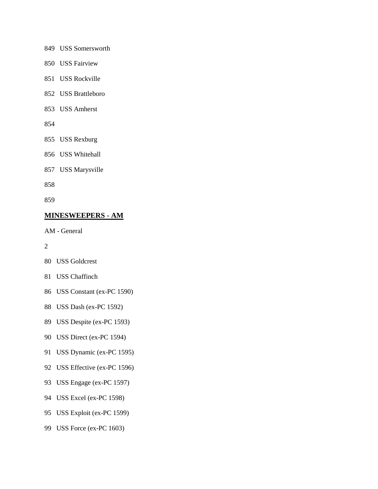- 849 USS Somersworth
- 850 USS Fairview
- 851 USS Rockville
- 852 USS Brattleboro
- 853 USS Amherst
- 854
- 855 USS Rexburg
- 856 USS Whitehall
- 857 USS Marysville
- 858

### **MINESWEEPERS - AM**

AM - General

- 80 USS Goldcrest
- 81 USS Chaffinch
- 86 USS Constant (ex-PC 1590)
- 88 USS Dash (ex-PC 1592)
- 89 USS Despite (ex-PC 1593)
- 90 USS Direct (ex-PC 1594)
- 91 USS Dynamic (ex-PC 1595)
- 92 USS Effective (ex-PC 1596)
- 93 USS Engage (ex-PC 1597)
- 94 USS Excel (ex-PC 1598)
- 95 USS Exploit (ex-PC 1599)
- 99 USS Force (ex-PC 1603)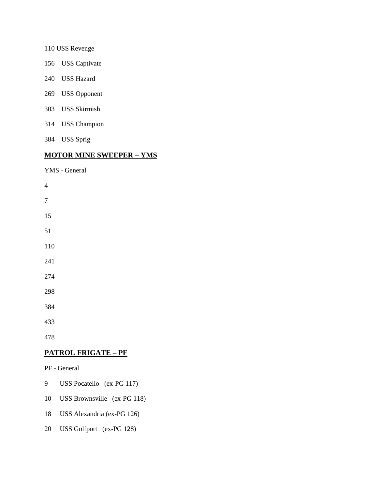110 USS Revenge 156 USS Captivate 240 USS Hazard 269 USS Opponent 303 USS Skirmish 314 USS Champion 384 USS Sprig **MOTOR MINE SWEEPER – YMS**

YMS - General

# **PATROL FRIGATE – PF**

PF - General

- 9 USS Pocatello (ex-PG 117)
- 10 USS Brownsville (ex-PG 118)
- 18 USS Alexandria (ex-PG 126)
- 20 USS Golfport (ex-PG 128)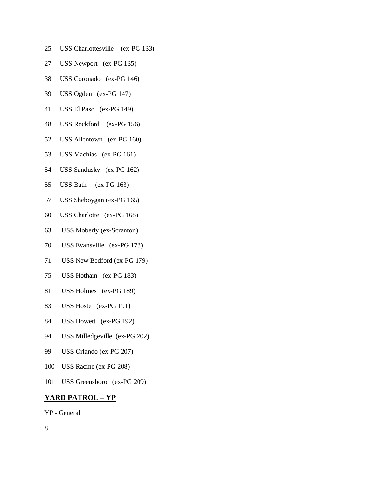- 25 USS Charlottesville (ex-PG 133)
- 27 USS Newport (ex-PG 135)
- 38 USS Coronado (ex-PG 146)
- 39 USS Ogden (ex-PG 147)
- 41 USS El Paso (ex-PG 149)
- 48 USS Rockford (ex-PG 156)
- 52 USS Allentown (ex-PG 160)
- 53 USS Machias (ex-PG 161)
- 54 USS Sandusky (ex-PG 162)
- 55 USS Bath (ex-PG 163)
- 57 USS Sheboygan (ex-PG 165)
- 60 USS Charlotte (ex-PG 168)
- 63 USS Moberly (ex-Scranton)
- 70 USS Evansville (ex-PG 178)
- 71 USS New Bedford (ex-PG 179)
- 75 USS Hotham (ex-PG 183)
- 81 USS Holmes (ex-PG 189)
- 83 USS Hoste (ex-PG 191)
- 84 USS Howett (ex-PG 192)
- 94 USS Milledgeville (ex-PG 202)
- 99 USS Orlando (ex-PG 207)
- 100 USS Racine (ex-PG 208)
- 101 USS Greensboro (ex-PG 209)

#### **YARD PATROL – YP**

YP - General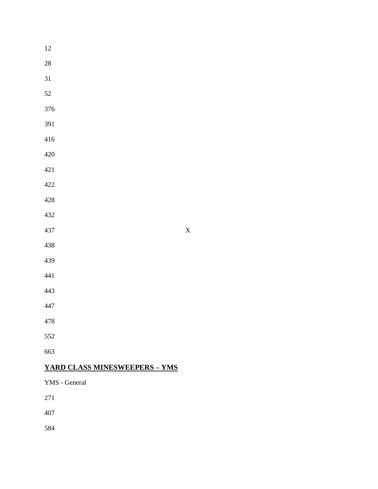| 12  |  |             |  |
|-----|--|-------------|--|
| 28  |  |             |  |
| 31  |  |             |  |
| 52  |  |             |  |
| 376 |  |             |  |
| 391 |  |             |  |
| 416 |  |             |  |
| 420 |  |             |  |
| 421 |  |             |  |
| 422 |  |             |  |
| 428 |  |             |  |
| 432 |  |             |  |
| 437 |  | $\mathbf X$ |  |
| 438 |  |             |  |
| 439 |  |             |  |
| 441 |  |             |  |
| 443 |  |             |  |
| 447 |  |             |  |
| 478 |  |             |  |
| 552 |  |             |  |
| 663 |  |             |  |

# **YARD CLASS MINESWEEPERS – YMS**

YMS - General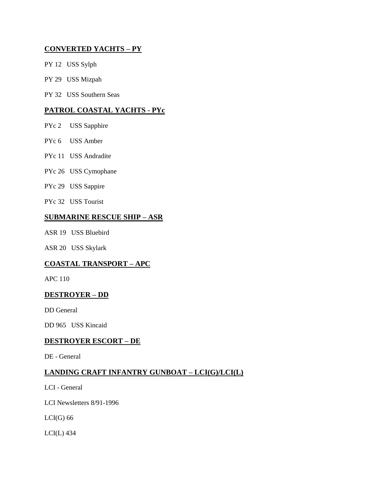# **CONVERTED YACHTS – PY**

- PY 12 USS Sylph
- PY 29 USS Mizpah
- PY 32 USS Southern Seas

# **PATROL COASTAL YACHTS - PYc**

- PYc 2 USS Sapphire
- PYc 6 USS Amber
- PYc 11 USS Andradite
- PYc 26 USS Cymophane
- PYc 29 USS Sappire
- PYc 32 USS Tourist

### **SUBMARINE RESCUE SHIP – ASR**

- ASR 19 USS Bluebird
- ASR 20 USS Skylark

### **COASTAL TRANSPORT – APC**

APC 110

### **DESTROYER – DD**

DD General

DD 965 USS Kincaid

### **DESTROYER ESCORT – DE**

DE - General

# **LANDING CRAFT INFANTRY GUNBOAT – LCI(G)/LCI(L)**

LCI - General

LCI Newsletters 8/91-1996

LCI(G) 66

LCI(L) 434